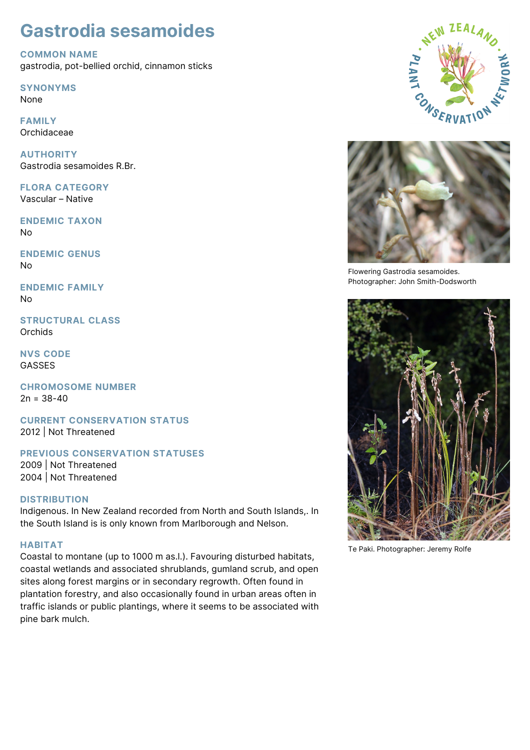# **Gastrodia sesamoides**

**COMMON NAME**

gastrodia, pot-bellied orchid, cinnamon sticks

**SYNONYMS**

None

**FAMILY** Orchidaceae

**AUTHORITY** Gastrodia sesamoides R.Br.

**FLORA CATEGORY** Vascular – Native

**ENDEMIC TAXON** No

**ENDEMIC GENUS** No

**ENDEMIC FAMILY** No

**STRUCTURAL CLASS Orchids** 

**NVS CODE** GASSES

**CHROMOSOME NUMBER**  $2n = 38-40$ 

**CURRENT CONSERVATION STATUS** 2012 | Not Threatened

# **PREVIOUS CONSERVATION STATUSES**

2009 | Not Threatened 2004 | Not Threatened

## **DISTRIBUTION**

Indigenous. In New Zealand recorded from North and South Islands,. In the South Island is is only known from Marlborough and Nelson.

## **HABITAT**

Coastal to montane (up to 1000 m as.l.). Favouring disturbed habitats, coastal wetlands and associated shrublands, gumland scrub, and open sites along forest margins or in secondary regrowth. Often found in plantation forestry, and also occasionally found in urban areas often in traffic islands or public plantings, where it seems to be associated with pine bark mulch.





Flowering Gastrodia sesamoides. Photographer: John Smith-Dodsworth



Te Paki. Photographer: Jeremy Rolfe